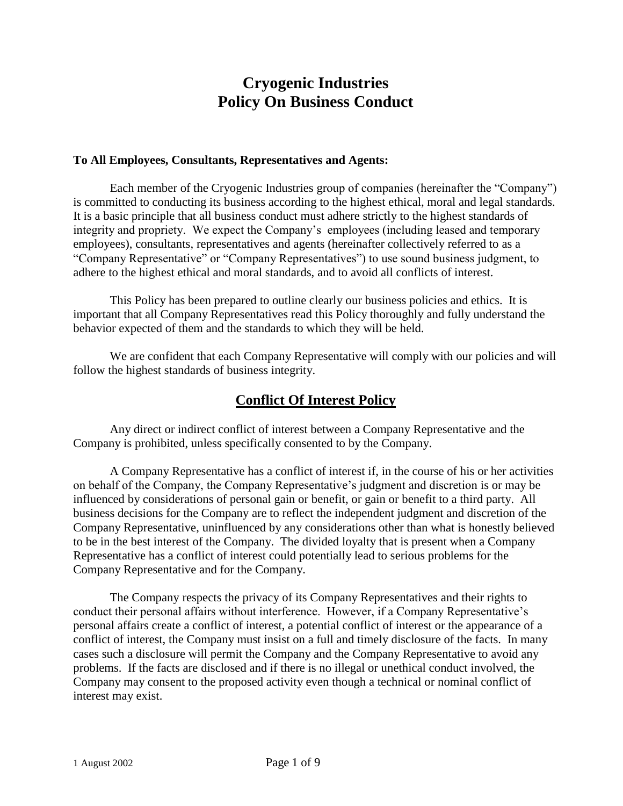# **Cryogenic Industries Policy On Business Conduct**

### **To All Employees, Consultants, Representatives and Agents:**

Each member of the Cryogenic Industries group of companies (hereinafter the "Company") is committed to conducting its business according to the highest ethical, moral and legal standards. It is a basic principle that all business conduct must adhere strictly to the highest standards of integrity and propriety. We expect the Company's employees (including leased and temporary employees), consultants, representatives and agents (hereinafter collectively referred to as a "Company Representative" or "Company Representatives") to use sound business judgment, to adhere to the highest ethical and moral standards, and to avoid all conflicts of interest.

This Policy has been prepared to outline clearly our business policies and ethics. It is important that all Company Representatives read this Policy thoroughly and fully understand the behavior expected of them and the standards to which they will be held.

We are confident that each Company Representative will comply with our policies and will follow the highest standards of business integrity.

## **Conflict Of Interest Policy**

Any direct or indirect conflict of interest between a Company Representative and the Company is prohibited, unless specifically consented to by the Company.

A Company Representative has a conflict of interest if, in the course of his or her activities on behalf of the Company, the Company Representative's judgment and discretion is or may be influenced by considerations of personal gain or benefit, or gain or benefit to a third party. All business decisions for the Company are to reflect the independent judgment and discretion of the Company Representative, uninfluenced by any considerations other than what is honestly believed to be in the best interest of the Company. The divided loyalty that is present when a Company Representative has a conflict of interest could potentially lead to serious problems for the Company Representative and for the Company.

The Company respects the privacy of its Company Representatives and their rights to conduct their personal affairs without interference. However, if a Company Representative's personal affairs create a conflict of interest, a potential conflict of interest or the appearance of a conflict of interest, the Company must insist on a full and timely disclosure of the facts. In many cases such a disclosure will permit the Company and the Company Representative to avoid any problems. If the facts are disclosed and if there is no illegal or unethical conduct involved, the Company may consent to the proposed activity even though a technical or nominal conflict of interest may exist.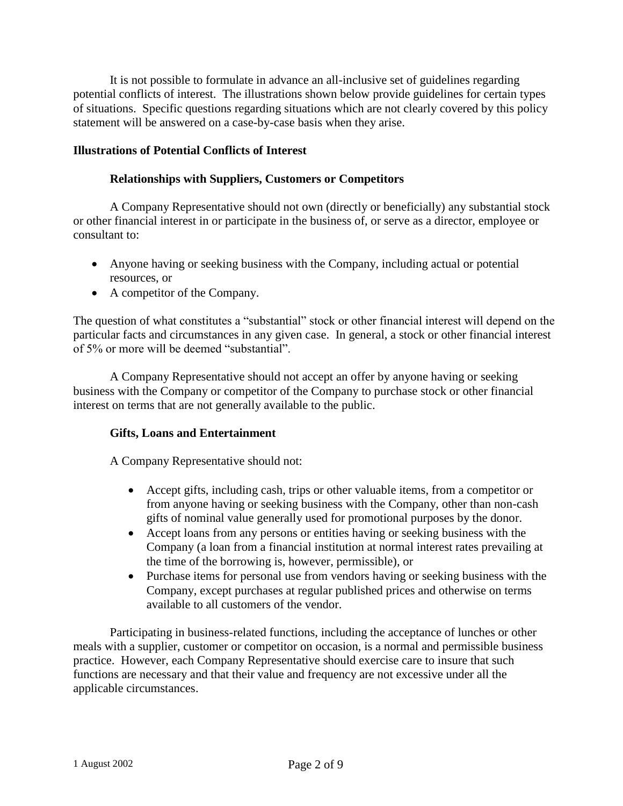It is not possible to formulate in advance an all-inclusive set of guidelines regarding potential conflicts of interest. The illustrations shown below provide guidelines for certain types of situations. Specific questions regarding situations which are not clearly covered by this policy statement will be answered on a case-by-case basis when they arise.

## **Illustrations of Potential Conflicts of Interest**

## **Relationships with Suppliers, Customers or Competitors**

A Company Representative should not own (directly or beneficially) any substantial stock or other financial interest in or participate in the business of, or serve as a director, employee or consultant to:

- Anyone having or seeking business with the Company, including actual or potential resources, or
- A competitor of the Company.

The question of what constitutes a "substantial" stock or other financial interest will depend on the particular facts and circumstances in any given case. In general, a stock or other financial interest of 5% or more will be deemed "substantial".

A Company Representative should not accept an offer by anyone having or seeking business with the Company or competitor of the Company to purchase stock or other financial interest on terms that are not generally available to the public.

### **Gifts, Loans and Entertainment**

A Company Representative should not:

- Accept gifts, including cash, trips or other valuable items, from a competitor or from anyone having or seeking business with the Company, other than non-cash gifts of nominal value generally used for promotional purposes by the donor.
- Accept loans from any persons or entities having or seeking business with the Company (a loan from a financial institution at normal interest rates prevailing at the time of the borrowing is, however, permissible), or
- Purchase items for personal use from vendors having or seeking business with the Company, except purchases at regular published prices and otherwise on terms available to all customers of the vendor.

Participating in business-related functions, including the acceptance of lunches or other meals with a supplier, customer or competitor on occasion, is a normal and permissible business practice. However, each Company Representative should exercise care to insure that such functions are necessary and that their value and frequency are not excessive under all the applicable circumstances.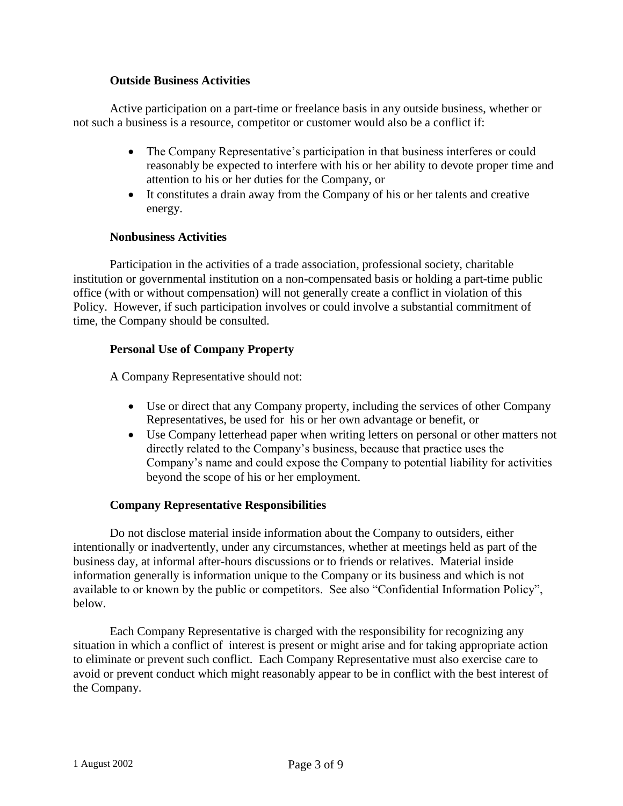## **Outside Business Activities**

Active participation on a part-time or freelance basis in any outside business, whether or not such a business is a resource, competitor or customer would also be a conflict if:

- The Company Representative's participation in that business interferes or could reasonably be expected to interfere with his or her ability to devote proper time and attention to his or her duties for the Company, or
- It constitutes a drain away from the Company of his or her talents and creative energy.

## **Nonbusiness Activities**

Participation in the activities of a trade association, professional society, charitable institution or governmental institution on a non-compensated basis or holding a part-time public office (with or without compensation) will not generally create a conflict in violation of this Policy. However, if such participation involves or could involve a substantial commitment of time, the Company should be consulted.

## **Personal Use of Company Property**

A Company Representative should not:

- Use or direct that any Company property, including the services of other Company Representatives, be used for his or her own advantage or benefit, or
- Use Company letterhead paper when writing letters on personal or other matters not directly related to the Company's business, because that practice uses the Company's name and could expose the Company to potential liability for activities beyond the scope of his or her employment.

### **Company Representative Responsibilities**

Do not disclose material inside information about the Company to outsiders, either intentionally or inadvertently, under any circumstances, whether at meetings held as part of the business day, at informal after-hours discussions or to friends or relatives. Material inside information generally is information unique to the Company or its business and which is not available to or known by the public or competitors. See also "Confidential Information Policy", below.

Each Company Representative is charged with the responsibility for recognizing any situation in which a conflict of interest is present or might arise and for taking appropriate action to eliminate or prevent such conflict. Each Company Representative must also exercise care to avoid or prevent conduct which might reasonably appear to be in conflict with the best interest of the Company.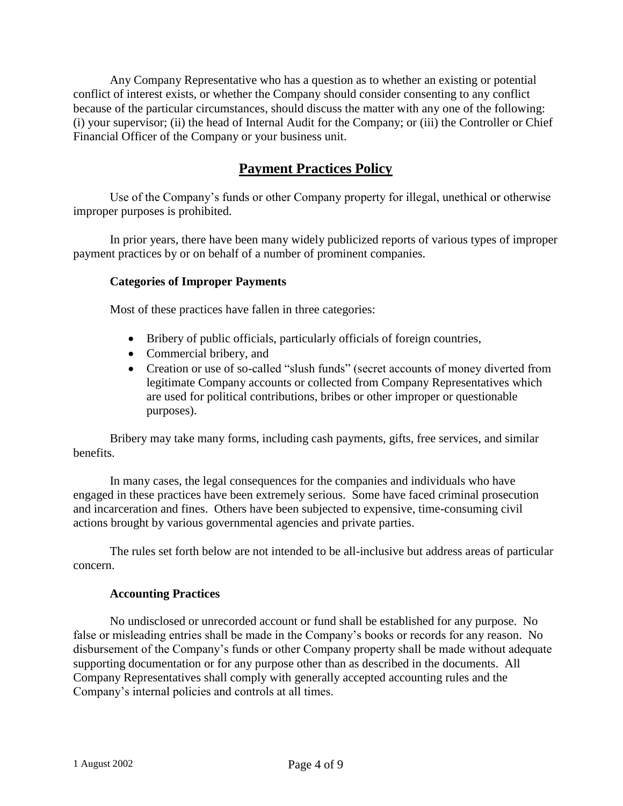Any Company Representative who has a question as to whether an existing or potential conflict of interest exists, or whether the Company should consider consenting to any conflict because of the particular circumstances, should discuss the matter with any one of the following: (i) your supervisor; (ii) the head of Internal Audit for the Company; or (iii) the Controller or Chief Financial Officer of the Company or your business unit.

## **Payment Practices Policy**

Use of the Company's funds or other Company property for illegal, unethical or otherwise improper purposes is prohibited.

In prior years, there have been many widely publicized reports of various types of improper payment practices by or on behalf of a number of prominent companies.

## **Categories of Improper Payments**

Most of these practices have fallen in three categories:

- Bribery of public officials, particularly officials of foreign countries,
- Commercial bribery, and
- Creation or use of so-called "slush funds" (secret accounts of money diverted from legitimate Company accounts or collected from Company Representatives which are used for political contributions, bribes or other improper or questionable purposes).

Bribery may take many forms, including cash payments, gifts, free services, and similar benefits.

In many cases, the legal consequences for the companies and individuals who have engaged in these practices have been extremely serious. Some have faced criminal prosecution and incarceration and fines. Others have been subjected to expensive, time-consuming civil actions brought by various governmental agencies and private parties.

The rules set forth below are not intended to be all-inclusive but address areas of particular concern.

### **Accounting Practices**

No undisclosed or unrecorded account or fund shall be established for any purpose. No false or misleading entries shall be made in the Company's books or records for any reason. No disbursement of the Company's funds or other Company property shall be made without adequate supporting documentation or for any purpose other than as described in the documents. All Company Representatives shall comply with generally accepted accounting rules and the Company's internal policies and controls at all times.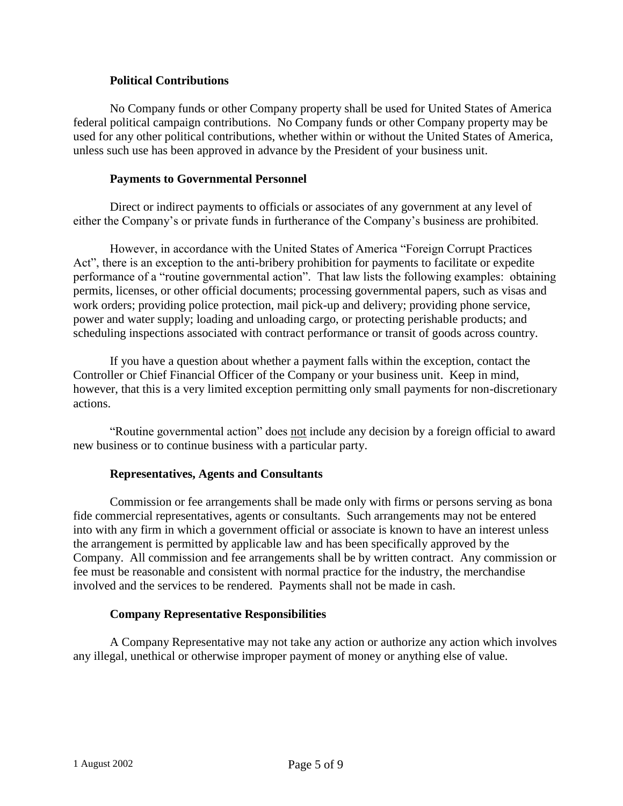## **Political Contributions**

No Company funds or other Company property shall be used for United States of America federal political campaign contributions. No Company funds or other Company property may be used for any other political contributions, whether within or without the United States of America, unless such use has been approved in advance by the President of your business unit.

### **Payments to Governmental Personnel**

Direct or indirect payments to officials or associates of any government at any level of either the Company's or private funds in furtherance of the Company's business are prohibited.

However, in accordance with the United States of America "Foreign Corrupt Practices Act", there is an exception to the anti-bribery prohibition for payments to facilitate or expedite performance of a "routine governmental action". That law lists the following examples: obtaining permits, licenses, or other official documents; processing governmental papers, such as visas and work orders; providing police protection, mail pick-up and delivery; providing phone service, power and water supply; loading and unloading cargo, or protecting perishable products; and scheduling inspections associated with contract performance or transit of goods across country.

If you have a question about whether a payment falls within the exception, contact the Controller or Chief Financial Officer of the Company or your business unit. Keep in mind, however, that this is a very limited exception permitting only small payments for non-discretionary actions.

"Routine governmental action" does not include any decision by a foreign official to award new business or to continue business with a particular party.

### **Representatives, Agents and Consultants**

Commission or fee arrangements shall be made only with firms or persons serving as bona fide commercial representatives, agents or consultants. Such arrangements may not be entered into with any firm in which a government official or associate is known to have an interest unless the arrangement is permitted by applicable law and has been specifically approved by the Company. All commission and fee arrangements shall be by written contract. Any commission or fee must be reasonable and consistent with normal practice for the industry, the merchandise involved and the services to be rendered. Payments shall not be made in cash.

## **Company Representative Responsibilities**

A Company Representative may not take any action or authorize any action which involves any illegal, unethical or otherwise improper payment of money or anything else of value.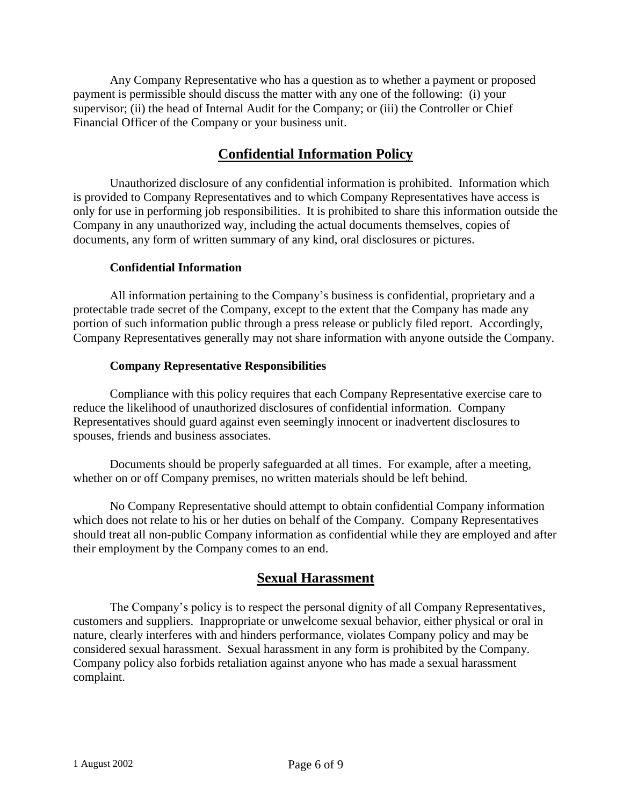Any Company Representative who has a question as to whether a payment or proposed payment is permissible should discuss the matter with any one of the following: (i) your supervisor; (ii) the head of Internal Audit for the Company; or (iii) the Controller or Chief Financial Officer of the Company or your business unit.

## **Confidential Information Policy**

Unauthorized disclosure of any confidential information is prohibited. Information which is provided to Company Representatives and to which Company Representatives have access is only for use in performing job responsibilities. It is prohibited to share this information outside the Company in any unauthorized way, including the actual documents themselves, copies of documents, any form of written summary of any kind, oral disclosures or pictures.

## **Confidential Information**

All information pertaining to the Company's business is confidential, proprietary and a protectable trade secret of the Company, except to the extent that the Company has made any portion of such information public through a press release or publicly filed report. Accordingly, Company Representatives generally may not share information with anyone outside the Company.

## **Company Representative Responsibilities**

Compliance with this policy requires that each Company Representative exercise care to reduce the likelihood of unauthorized disclosures of confidential information. Company Representatives should guard against even seemingly innocent or inadvertent disclosures to spouses, friends and business associates.

Documents should be properly safeguarded at all times. For example, after a meeting, whether on or off Company premises, no written materials should be left behind.

No Company Representative should attempt to obtain confidential Company information which does not relate to his or her duties on behalf of the Company. Company Representatives should treat all non-public Company information as confidential while they are employed and after their employment by the Company comes to an end.

## **Sexual Harassment**

The Company's policy is to respect the personal dignity of all Company Representatives, customers and suppliers. Inappropriate or unwelcome sexual behavior, either physical or oral in nature, clearly interferes with and hinders performance, violates Company policy and may be considered sexual harassment. Sexual harassment in any form is prohibited by the Company. Company policy also forbids retaliation against anyone who has made a sexual harassment complaint.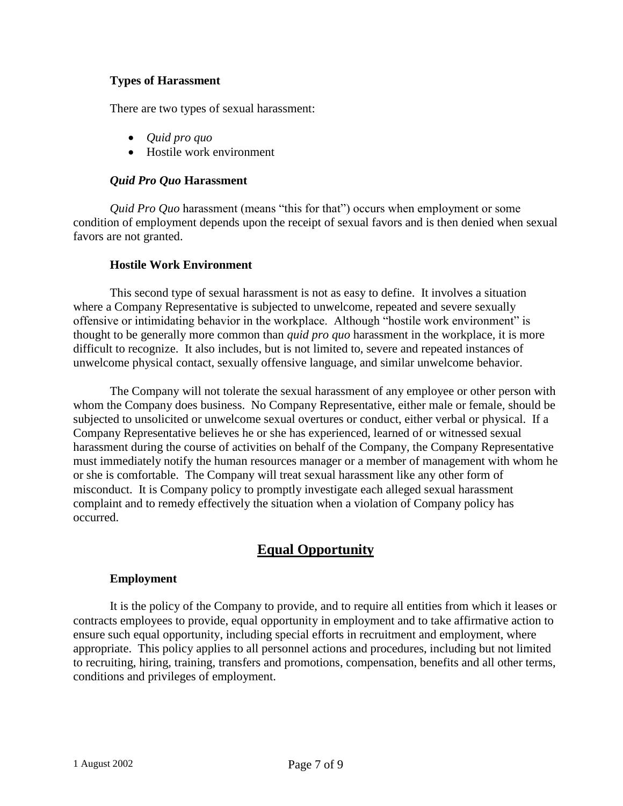## **Types of Harassment**

There are two types of sexual harassment:

- *Quid pro quo*
- Hostile work environment

## *Quid Pro Quo* **Harassment**

*Quid Pro Quo* harassment (means "this for that") occurs when employment or some condition of employment depends upon the receipt of sexual favors and is then denied when sexual favors are not granted.

## **Hostile Work Environment**

This second type of sexual harassment is not as easy to define. It involves a situation where a Company Representative is subjected to unwelcome, repeated and severe sexually offensive or intimidating behavior in the workplace. Although "hostile work environment" is thought to be generally more common than *quid pro quo* harassment in the workplace, it is more difficult to recognize. It also includes, but is not limited to, severe and repeated instances of unwelcome physical contact, sexually offensive language, and similar unwelcome behavior.

The Company will not tolerate the sexual harassment of any employee or other person with whom the Company does business. No Company Representative, either male or female, should be subjected to unsolicited or unwelcome sexual overtures or conduct, either verbal or physical. If a Company Representative believes he or she has experienced, learned of or witnessed sexual harassment during the course of activities on behalf of the Company, the Company Representative must immediately notify the human resources manager or a member of management with whom he or she is comfortable. The Company will treat sexual harassment like any other form of misconduct. It is Company policy to promptly investigate each alleged sexual harassment complaint and to remedy effectively the situation when a violation of Company policy has occurred.

## **Equal Opportunity**

### **Employment**

It is the policy of the Company to provide, and to require all entities from which it leases or contracts employees to provide, equal opportunity in employment and to take affirmative action to ensure such equal opportunity, including special efforts in recruitment and employment, where appropriate. This policy applies to all personnel actions and procedures, including but not limited to recruiting, hiring, training, transfers and promotions, compensation, benefits and all other terms, conditions and privileges of employment.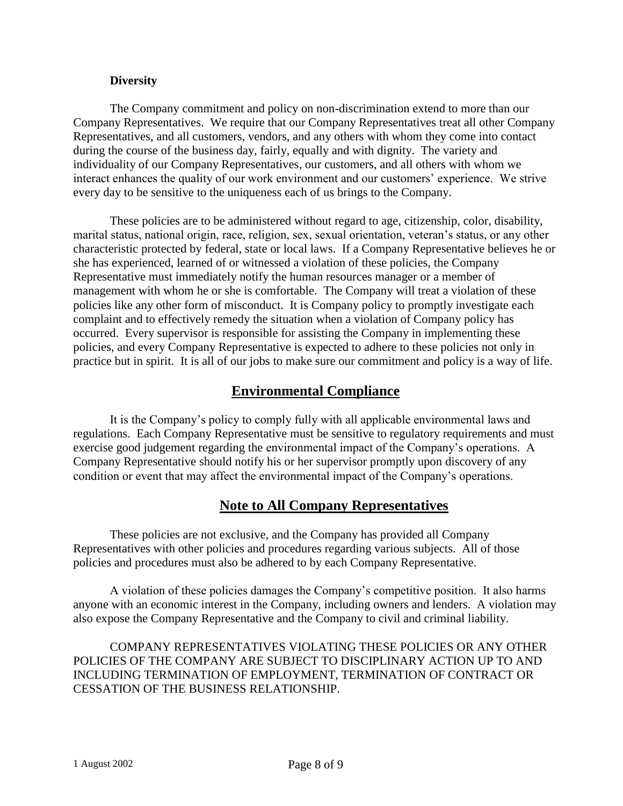### **Diversity**

The Company commitment and policy on non-discrimination extend to more than our Company Representatives. We require that our Company Representatives treat all other Company Representatives, and all customers, vendors, and any others with whom they come into contact during the course of the business day, fairly, equally and with dignity. The variety and individuality of our Company Representatives, our customers, and all others with whom we interact enhances the quality of our work environment and our customers' experience. We strive every day to be sensitive to the uniqueness each of us brings to the Company.

These policies are to be administered without regard to age, citizenship, color, disability, marital status, national origin, race, religion, sex, sexual orientation, veteran's status, or any other characteristic protected by federal, state or local laws. If a Company Representative believes he or she has experienced, learned of or witnessed a violation of these policies, the Company Representative must immediately notify the human resources manager or a member of management with whom he or she is comfortable. The Company will treat a violation of these policies like any other form of misconduct. It is Company policy to promptly investigate each complaint and to effectively remedy the situation when a violation of Company policy has occurred. Every supervisor is responsible for assisting the Company in implementing these policies, and every Company Representative is expected to adhere to these policies not only in practice but in spirit. It is all of our jobs to make sure our commitment and policy is a way of life.

## **Environmental Compliance**

It is the Company's policy to comply fully with all applicable environmental laws and regulations. Each Company Representative must be sensitive to regulatory requirements and must exercise good judgement regarding the environmental impact of the Company's operations. A Company Representative should notify his or her supervisor promptly upon discovery of any condition or event that may affect the environmental impact of the Company's operations.

## **Note to All Company Representatives**

These policies are not exclusive, and the Company has provided all Company Representatives with other policies and procedures regarding various subjects. All of those policies and procedures must also be adhered to by each Company Representative.

A violation of these policies damages the Company's competitive position. It also harms anyone with an economic interest in the Company, including owners and lenders. A violation may also expose the Company Representative and the Company to civil and criminal liability.

COMPANY REPRESENTATIVES VIOLATING THESE POLICIES OR ANY OTHER POLICIES OF THE COMPANY ARE SUBJECT TO DISCIPLINARY ACTION UP TO AND INCLUDING TERMINATION OF EMPLOYMENT, TERMINATION OF CONTRACT OR CESSATION OF THE BUSINESS RELATIONSHIP.